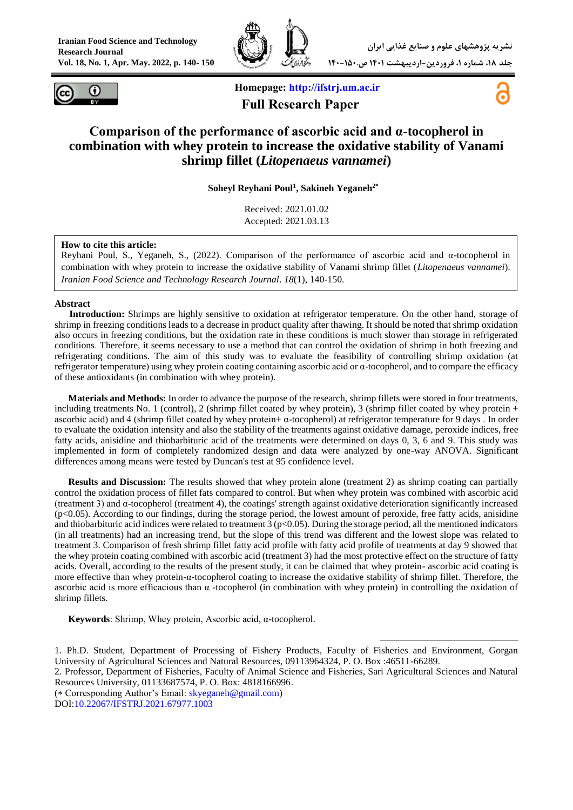



**Homepage: [http://ifstrj.um.ac.ir](http://ifstrj.um.ac.ir/) Full Research Paper**



# **Comparison of the performance of ascorbic acid and α-tocopherol in combination with whey protein to increase the oxidative stability of Vanami shrimp fillet (***Litopenaeus vannamei***)**

**Soheyl Reyhani Poul<sup>1</sup> , Sakineh Yeganeh2\***

Received: 2021.01.02 Accepted: 2021.03.13

#### **How to cite this article:**

Reyhani Poul, S., Yeganeh, S., (2022). Comparison of the performance of ascorbic acid and α-tocopherol in combination with whey protein to increase the oxidative stability of Vanami shrimp fillet (*Litopenaeus vannamei*). *Iranian Food Science and Technology Research Journal*. *18*(1), 140-150.

#### **Abstract**

**<sup>1</sup>Introduction:** Shrimps are highly sensitive to oxidation at refrigerator temperature. On the other hand, storage of shrimp in freezing conditions leads to a decrease in product quality after thawing. It should be noted that shrimp oxidation also occurs in freezing conditions, but the oxidation rate in these conditions is much slower than storage in refrigerated conditions. Therefore, it seems necessary to use a method that can control the oxidation of shrimp in both freezing and refrigerating conditions. The aim of this study was to evaluate the feasibility of controlling shrimp oxidation (at refrigerator temperature) using whey protein coating containing ascorbic acid or α-tocopherol, and to compare the efficacy of these antioxidants (in combination with whey protein).

**Materials and Methods:** In order to advance the purpose of the research, shrimp fillets were stored in four treatments, including treatments No. 1 (control), 2 (shrimp fillet coated by whey protein), 3 (shrimp fillet coated by whey protein + ascorbic acid) and 4 (shrimp fillet coated by whey protein+  $α$ -tocopherol) at refrigerator temperature for 9 days . In order to evaluate the oxidation intensity and also the stability of the treatments against oxidative damage, peroxide indices, free fatty acids, anisidine and thiobarbituric acid of the treatments were determined on days 0, 3, 6 and 9. This study was implemented in form of completely randomized design and data were analyzed by one-way ANOVA. Significant differences among means were tested by Duncan's test at 95 confidence level.

**Results and Discussion:** The results showed that whey protein alone (treatment 2) as shrimp coating can partially control the oxidation process of fillet fats compared to control. But when whey protein was combined with ascorbic acid (treatment 3) and α-tocopherol (treatment 4), the coatings' strength against oxidative deterioration significantly increased (p<0.05). According to our findings, during the storage period, the lowest amount of peroxide, free fatty acids, anisidine and thiobarbituric acid indices were related to treatment  $\hat{3}$  (p<0.05). During the storage period, all the mentioned indicators (in all treatments) had an increasing trend, but the slope of this trend was different and the lowest slope was related to treatment 3. Comparison of fresh shrimp fillet fatty acid profile with fatty acid profile of treatments at day 9 showed that the whey protein coating combined with ascorbic acid (treatment 3) had the most protective effect on the structure of fatty acids. Overall, according to the results of the present study, it can be claimed that whey protein- ascorbic acid coating is more effective than whey protein-α-tocopherol coating to increase the oxidative stability of shrimp fillet. Therefore, the ascorbic acid is more efficacious than  $\alpha$  -tocopherol (in combination with whey protein) in controlling the oxidation of shrimp fillets.

**Keywords**: Shrimp, Whey protein, Ascorbic acid, α-tocopherol.

**.** 1. Ph.D. Student, Department of Processing of Fishery Products, Faculty of Fisheries and Environment, Gorgan University of Agricultural Sciences and Natural Resources, 09113964324, P. O. Box :46511-66289.

2. Professor, Department of Fisheries, Faculty of Animal Science and Fisheries, Sari Agricultural Sciences and Natural Resources University, 01133687574, P. O. Box: 4818166996.

 $(*$  Corresponding Author's Email:  $skyeganeh@gmail.com$ )

DOI[:10.22067/IFSTRJ.2021.67977.1003](https://dx.doi.org/10.22067/ifstrj.2021.67977.1003)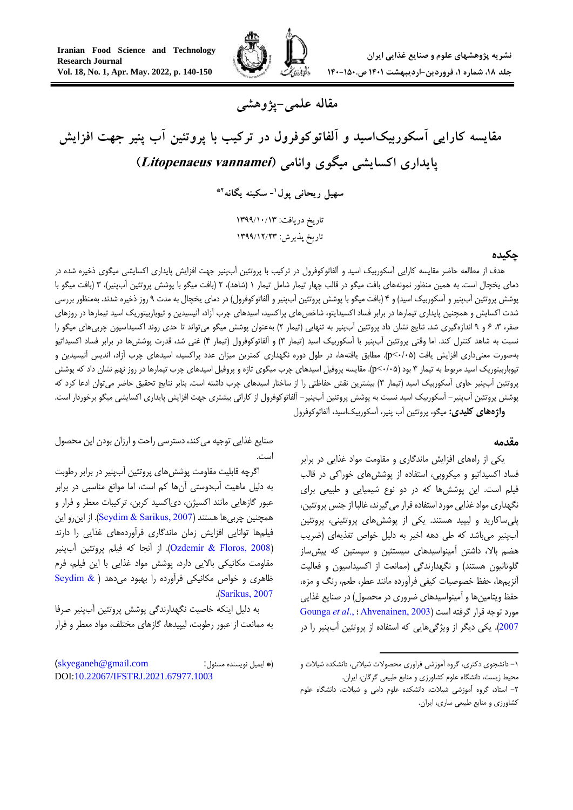

**مقاله علمی-پژوهشی**

# **مقایسه کارایی آسکوربیکاسید و آلفاتوکوفرول در ترکیب با پروتئین آب پنیر جهت افزایش پایداری اکسایشی میگوی وانامی )vannamei Litopenaeus )**

**<sup>1</sup> سهیل ریحانی پول - سکینه یگانه \*2**

تاریخ دریافت: 3111/31/31 تاریخ پذیرش: 3111/33/31

## **چکیده**

هدف از مطالعه حاضر مقایسه کارایی آسکوربیک اسید و آلفاتوکوفرول در ترکیب با پروتئین آبپنیر جهت افزایش پایداری اکسایشی میگوی ذخیره شده در دمای یخچال است. به همین منظور نمونههای بافت میگو در قالب چهار تیمار شامل تیمار ۱ (شاهد)، ۲ (بافت میگو با پوشش پروتئین آبپنیر)، ۳ (بافت میگو با پوشش پروتئین آبپنیر و آسکوربیک اسید) و ۴ (بافت میگو با پوشش پروتئین آبپنیر و آلفاتوکوفرول) در دمای یخچال به مدت ۹ روز ذخیره شدند. بهمنظور بررسی شدت اکسایش و همچنین پایداری تیمارها در برابر فساد اکسیدایتو، شاخصهای پراکسید، اسیدهای چرب آزاد، آنیسیدین و تیوباربیتوریک اسید تیمارها در روزهای صفر، ۳، ۶ و ۹ اندازهگیری شد. نتایج نشان داد پروتئین آبپنیر به تنهایی (تیمار ۲) بهعنوان پوشش میگو میتواند تا حدی روند اکسیداسیون چربیهای میگو را نسبت به شاهد کنترل کند. اما وقتی پروتئین آبپنیر با آسکوربیک اسید (تیمار ۳) و آلفاتوکوفرول (تیمار ۴) غنی شد، قدرت پوشش ها در برابر فساد اکسیداتیو بهصورت معنیداری افزایش یافت )5/50>p). مطابق یافتهها، در طول دوره نگهداری کمترین میزان عدد پراکسید، اسیدهای چرب آزاد، اندیس آنیسیدین و تیوباربیتوریک اسید مربوط به تیمار 3 بود )5/50>p). مقایسه پروفیل اسیدهای چرب میگوی تازه و پروفیل اسیدهای چرب تیمارها در روز نهم نشان داد که پوشش پروتئین آبپنیر حاوی آسکوربیک اسید (تیمار ۳) بیشترین نقش حفاظتی را از ساختار اسیدهای چرب داشته است. بنابر نتایج تحقیق حاضر میتوان ادعا کرد که پوشش پروتئین آبپنیر- آسکوربیک اسید نسبت به پوشش پروتئین آبپنیر- آلفاتوکوفرول از کارائی بیشتری جهت افزایش پایداری اکسایشی میگو برخوردار است. **واژههای کلیدی:** میگو، پروتئین آب پنیر، آسکوربیکاسید، آلفاتوکوفرول

#### **مقدمه**

یکی از راههای افزایش ماندگاری و مقاومت مواد غذایی در برابر فساد اکسیداتیو و میکروبی، استفاده از پوششهای خوراکی در قالب فیلم است. این پوششها که در دو نوع شیمیایی و طبیعی برای نگهداری مواد غذایی مورد استفاده قرار میگیرند، غالبا از جنس پروتئین، پلیساکارید و لیپید هستند. یکی از پوششهای پروتئینی، پروتئین آبینیر میباشد که طی دهه اخیر به دلیل خواص تغذیهای (ضریب هضم باال، داشتن آمینواسیدهای سیستئین و سیستین که پیشساز گلوتانیون هستند) و نگهدارندگی (ممانعت از اکسیداسیون و فعالیت آنزیمها، حفظ خصوصیات کیفی فرآورده مانند عطر، طعم، رنگ و مزه، حفظ ویتامینها و آمینواسیدهای ضروری در محصول) در صنایع غذایی مورد توجه قرار گرفته است )[2003 ,Ahvenainen](#page-9-0) ؛.[,](#page-9-1)*al et* [Gounga](#page-9-1) [2007](#page-9-1)(. یکی دیگر از ویژگیهایی که استفاده از پروتئین آبپنیر را در

1

صنایع غذایی توجیه میکند، دسترسی راحت و ارزان بودن این محصول است.

اگرچه قابلیت مقاومت پوششهای پروتئین آبپنیر در برابر رطوبت به دلیل ماهیت آبدوستی آنها کم است، اما موانع مناسبی در برابر عبور گازهایی مانند اکسیژن، دیاکسید کربن، ترکیبات معطر و فرار و همچنین چربیها هستند )[2007 ,Sarikus & Seydim](#page-10-0)). از اینرو این فیلمها توانایی افزایش زمان ماندگاری فرآوردههای غذایی را دارند )[2008 ,Floros & Ozdemir](#page-10-1)). از آنجا که فیلم پروتئین آبپنیر مقاومت مکانیکی باالیی دارد، پوشش مواد غذایی با این فیلم، فرم ظاهری و خواص مکانیکی فرآورده را بهبود میدهد [\)](#page-10-0) [& Seydim](#page-10-0) .)[Sarikus, 2007](#page-10-0)

به دلیل اینکه خاصیت نگهدارندگی پوشش پروتئین آبپنیر صرفا به ممانعت از عبور رطوبت، لیپیدها، گازهای مختلف، مواد معطر و فرار

<sup>-1</sup> دانشجوی دکتری، گروه آموزشی فراوری محصوالت شیالتی، دانشکده شیالت و محیط زیست، دانشگاه علوم کشاورزی و منابع طبیعی گرگان، ایران.

<sup>-2</sup> استاد، گروه آموزشی شیالت، دانشکده علوم دامی و شیالت، دانشگاه علوم کشاورزی و منابع طبیعی ساری، ایران.

<sup>)\*</sup> ایمیل نویسنده مسئول: com.gmail@skyeganeh) DOI[:10.22067/IFSTRJ.2021.67977.1003](https://dx.doi.org/10.22067/ifstrj.2021.67977.1003)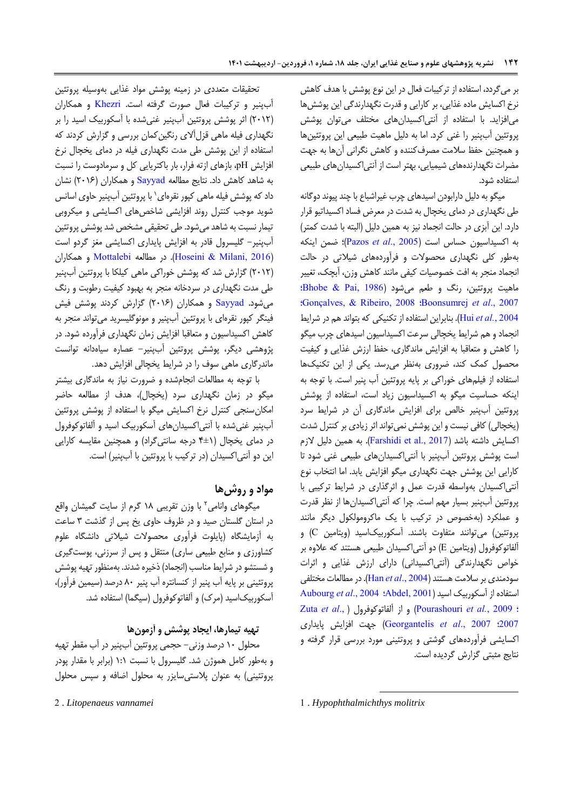بر میگردد، استفاده از ترکیبات فعال در این نوع پوشش با هدف کاهش نرخ اکسایش ماده غذایی، بر کارایی و قدرت نگهدارندگی این پوششها میافزاید. با استفاده از آنتیاکسیدانهای مختلف میتوان پوشش پروتئین آبپنیر را غنی کرد. اما به دلیل ماهیت طبیعی این پروتئینها و همچنین حفظ سالمت مصرفکننده و کاهش نگرانی آنها به جهت مضرات نگهدارندههای شیمیایی، بهتر است از آنتیاکسیدانهای طبیعی استفاده شود.

میگو به دلیل دارابودن اسیدهای چرب غیراشباع با چند پیوند دوگانه طی نگهداری در دمای یخچال به شدت در معرض فساد اکسیداتیو قرار دارد. این آبزی در حالت انجماد نیز به همین دلیل )البته با شدت کمتر( به اکسیداسیون حساس است )[2005 .,](#page-10-2)*al et* Pazos)؛ ضمن اینکه بهطور کلی نگهداری محصوالت و فرآوردههای شیالتی در حالت انجماد منجر به افت خصوصیات کیفی مانند کاهش وزن، آبچک، تغییر ماهیت پروتئین، رنگ و طعم میشود )[1986 ,Pai & Bhobe](#page-9-2)؛ ؛[Gonçalves, & Ribeiro, 2008](#page-9-4) ؛[Boonsumrej](#page-9-3) *et al*., 2007 [2004](#page-9-5) *.*,*al et* Hui). بنابراین استفاده از تکنیکی که بتواند هم در شرایط انجماد و هم شرایط یخچالی سرعت اکسیداسیون اسیدهای چرب میگو را کاهش و متعاقبا به افزایش ماندگاری، حفظ ارزش غذایی و کیفیت محصول کمک کند، ضروری بهنظر میرسد. یکی از این تکنیکها استفاده از فیلمهای خوراکی بر پایه پروتئین آب پنیر است. با توجه به اینکه حساسیت میگو به اکسیداسیون زیاد است، استفاده از پوشش پروتئین آبپنیر خالص برای افزایش ماندگاری آن در شرایط سرد )یخچالی( کافی نیست و این پوشش نمیتواند اثر زیادی بر کنترل شدت اکسایش داشته باشد )[2017 .,al et Farshidi](#page-9-6)). به همین دلیل الزم است پوشش پروتئین آبپنیر با آنتیاکسیدانهای طبیعی غنی شود تا کارایی این پوشش جهت نگهداری میگو افزایش یابد. اما انتخاب نوع آنتیاکسیدان بهواسطه قدرت عمل و اثرگذاری در شرایط ترکیبی با پروتئین آبپنیر بسیار مهم است. چرا که آنتیاکسیدانها از نظر قدرت و عملکرد )بهخصوص در ترکیب با یک ماکرومولکول دیگر مانند پروتئین( میتوانند متفاوت باشند. آسکوربیکاسید )ویتامین C )و آلفاتوکوفرول )ویتامین E )دو آنتیاکسیدان طبیعی هستند که عالوه بر خواص نگهدارندگی (آنتیاکسیدانی) دارای ارزش غذایی و اثرات سودمندی بر سالمت هستند )[2004 .,](#page-9-7)*al et* Han). در مطالعات مختلفی استفاده از آسکوربیک اسید )[2001 ,Abdel](#page-8-0)[؛](#page-9-8) 2004 .,*al et* [Aubourg](#page-9-8) [Zuta](#page-10-4) *et al*., [\(](#page-10-4) آلفاتوکوفرول از و( [Pourashouri](#page-10-3) *et al.*, 2009 ؛ [2007](#page-10-4)؛ 2007 .,*al et* [Georgantelis](#page-9-9) )جهت افزایش پایداری اکسایشی فرآوردههای گوشتی و پروتئینی مورد بررسی قرار گرفته و نتایج مثبتی گزارش گردیده است.

1 1 . *Hypophthalmichthys molitrix*

تحقیقات متعددی در زمینه پوشش مواد غذایی بهوسیله پروتئین آبپنیر و ترکیبات فعال صورت گرفته است. [Khezri](#page-9-10) و همکاران )2512( اثر پوشش پروتئین آبپنیر غنیشده با آسکوربیک اسید را بر نگهداری فیله ماهی قزلآالی رنگینکمان بررسی و گزارش کردند که استفاده از این پوشش طی مدت نگهداری فیله در دمای یخچال نرخ افزایش pH، بازهای ازته فرار، بار باکتریایی کل و سرمادوست را نسبت به شاهد کاهش داد. نتایج مطالعه <mark>[Sayyad](#page-10-5) و همکاران (۲۰۱۶) نشان</mark> داد که پوشش فیله ماهی کپور نقرهای` با پروتئین آبپنیر حاوی اسانس شوید موجب کنترل روند افزایشی شاخصهای اکسایشی و میکروبی تیمار نسبت به شاهد میشود. طی تحقیقی مشخص شد پوشش پروتئین آبپنیر- گلیسرول قادر به افزایش پایداری اکسایشی مغز گردو است )[2016 ,Milani & Hoseini](#page-9-11)). در مطالعه [Mottalebi](#page-9-12) و همکاران )2512( گزارش شد که پوشش خوراکی ماهی کیلکا با پروتئین آبپنیر طی مدت نگهداری در سردخانه منجر به بهبود کیفیت رطوبت و رنگ میشود. [Sayyad](#page-10-5) و همکاران )2516( گزارش کردند پوشش فیش فینگر کپور نقرهای با پروتئین آبپنیر و مونوگلیسرید میتواند منجر به کاهش اکسیداسیون و متعاقبا افزایش زمان نگهداری فرآورده شود. در پژوهشی دیگر، پوشش پروتئین آبپنیر- عصاره سیاهدانه توانست ماندرگاری ماهی سوف را در شرایط یخچالی افزایش دهد.

با توجه به مطالعات انجامشده و ضرورت نیاز به ماندگاری بیشتر میگو در زمان نگهداری سرد (یخچال)، هدف از مطالعه حاضر امکانسنجی کنترل نرخ اکسایش میگو با استفاده از پوشش پروتئین آبپنیر غنیشده با آنتیاکسیدانهای آسکوربیک اسید و آلفاتوکوفرول در دمای یخچال )4±1 درجه سانتیگراد( و همچنین مقایسه کارایی این دو آنتیاکسیدان )در ترکیب با پروتئین با آبپنیر( است.

# **مواد و روشها**

2 میگوهای وانامی با وزن تقریبی 11 گرم از سایت گمیشان واقع در استان گلستان صید و در ظروف حاوی یخ پس از گذشت 3 ساعت به آزمایشگاه )پایلوت فرآوری محصوالت شیالتی دانشگاه علوم کشاورزی و منابع طبیعی ساری( منتقل و پس از سرزنی، پوستگیری و شستشو در شرایط مناسب (انجماد) ذخیره شدند. بهمنظور تهیه پوشش پروتئینی بر پایه آب پنیر از کنسانتره آب پنیر 15 درصد )سیمین فرآور(، آسکوربیکاسید (مرک) و آلفاتوکوفرول (سیگما) استفاده شد.

# **تهیه تیمارها، ایجاد پوشش و آزمونها**

محلول 15 درصد وزنی- حجمی پروتئین آبپنیر در آب مقطر تهیه و بهطور کامل هموژن شد. گلیسرول با نسبت 1:1 )برابر با مقدار پودر پروتئینی) به عنوان پلاستی سایزر به محلول اضافه و سپس محلول

2 . *Litopenaeus vannamei*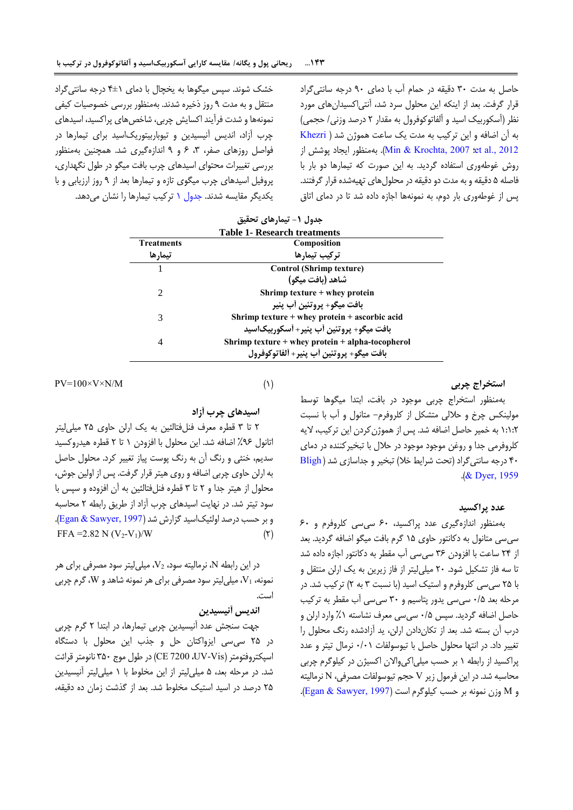حاصل به مدت 35 دقیقه در حمام آب با دمای 95 درجه سانتیگراد قرار گرفت. بعد از اینکه این محلول سرد شد، آنتیاکسیدانهای مورد نظر (آسکوربیک اسید و آلفاتوکوفرول به مقدار ۲ درصد وزنی/ حجمی) به آن اضافه و این ترکیب به مدت یک ساعت هموژن شد [\)](#page-9-10) [Khezri](#page-9-10) 2012 .Min & Krochta, 2007 :et al). بهمنظور ایجاد پوشش از روش غوطهوری استفاده گردید. به این صورت که تیمارها دو بار با فاصله 0 دقیقه و به مدت دو دقیقه در محلولهای تهیهشده قرار گرفتند. پس از غوطهوری بار دوم، به نمونهها اجازه داده شد تا در دمای اتاق

خشک شوند. سپس میگوها به یخچال با دمای 4±1 درجه سانتیگراد منتقل و به مدت 9 روز ذخیره شدند. بهمنظور بررسی خصوصیات کیفی نمونهها و شدت فرآیند اکسایش چربی، شاخصهای پراکسید، اسیدهای چرب آزاد، اندیس آنیسیدین و تیوباربیتوریکاسید برای تیمارها در فواصل روزهای صفر، ،3 6 و 9 اندازهگیری شد. همچنین بهمنظور بررسی تغییرات محتوای اسیدهای چرب بافت میگو در طول نگهداری، پروفیل اسیدهای چرب میگوی تازه و تیمارها بعد از 9 روز ارزیابی و با یکدیگر مقایسه شدند. [جدول 1](#page-3-0) ترکیب تیمارها را نشان میدهد.

| <b>Table 1- Research treatments</b> |                                                  |  |  |  |
|-------------------------------------|--------------------------------------------------|--|--|--|
| <b>Treatments</b>                   | Composition                                      |  |  |  |
| تيمارها                             | تركيب تيمارها                                    |  |  |  |
|                                     | <b>Control (Shrimp texture)</b>                  |  |  |  |
|                                     | شاهد (بافت میگو)                                 |  |  |  |
| $\mathcal{D}_{\mathcal{L}}$         | Shrimp texture $+$ whey protein                  |  |  |  |
|                                     | بافت ميگو+ پروتئين أب پنير                       |  |  |  |
| 3                                   | Shrimp texture + whey protein + ascorbic acid    |  |  |  |
|                                     | بافت ميگو+ پروتئين أب پنير+ أسكوربيکاسيد         |  |  |  |
| 4                                   | Shrimp texture + whey protein + alpha-tocopherol |  |  |  |
|                                     | بافت ميگو+ يروتئين أب ينير+ ألفاتوكوفرول         |  |  |  |

<span id="page-3-0"></span>**جدول -1 تیمارهای تحقیق**

 $PV=100\times V\times N/M$  (1)

**اسیدهای چرب آزاد**

2 تا 3 قطره معرف فنلفتالئین به یک ارلن حاوی 20 میلیلیتر اتانول %96 اضافه شد. این محلول با افزودن 1 تا 2 قطره هیدروکسید سدیم، خنثی و رنگ آن به رنگ پوست پیاز تغییر کرد. محلول حاصل به ارلن حاوی چربی اضافه و روی هیتر قرار گرفت. پس از اولین جوش، محلول از هیتر جدا و 2 تا 3 قطره فنلفتالئین به آن افزوده و سپس با سود تیتر شد. در نهایت اسیدهای چرب آزاد از طریق رابطه 2 محاسبه و بر حسب درصد اولئیکاسید گزارش شد (Egan & Sawyer, 1997). FFA = 2.82 N  $(V_2-V_1)/W$  (۲)

در این رابطه N، نرمالیته سود، 2V، میلیلیتر سود مصرفی برای هر نمونه، 1V، میلیلیتر سود مصرفی برای هر نمونه شاهد و W، گرم چربی است.

## **اندیس آنیسیدین**

جهت سنجش عدد آنیسیدین چربی تیمارها، در ابتدا 2 گرم چربی در 20 سیسی ایزواکتان حل و جذب این محلول با دستگاه اسپکتروفتومتر )Vis-UV، 7200 CE )در طول موج 305 نانومتر قرائت شد. در مرحله بعد، 0 میلیلیتر از این مخلوط با 1 میلیلیتر آنیسیدین 20 درصد در اسید استیک مخلوط شد. بعد از گذشت زمان ده دقیقه،

**استخراج چربی**

بهمنظور استخراج چربی موجود در بافت، ابتدا میگوها توسط مولینکس چرخ و حاللی متشکل از کلروفرم- متانول و آب با نسبت 1:1:2 به خمیر حاصل اضافه شد. پس از هموژنکردن این ترکیب، الیه کلروفرمی جدا و روغن موجود موجود در حالل با تبخیرکننده در دمای ۴۰ درجه سانتی گراد (تحت شرایط خلا) تبخیر و جداسازی شد (Bligh .([& Dyer, 1959](#page-9-14))

#### **عدد پراکسید**

بهمنظور اندازهگیری عدد پراکسید، 65 سیسی کلروفرم و 65 سیسی متانول به دکانتور حاوی 10 گرم بافت میگو اضافه گردید. بعد از 24 ساعت با افزودن 36 سیسی آب مقطر به دکانتور اجازه داده شد تا سه فاز تشکیل شود. 25 میلیلیتر از فاز زیرین به یک ارلن منتقل و با 20 سیسی کلروفرم و استیک اسید )با نسبت 3 به 2( ترکیب شد. در مرحله بعد 5/0 سیسی یدور پتاسیم و 35 سیسی آب مقطر به ترکیب حاصل اضافه گردید. سپس 5/0 سیسی معرف نشاسته %1 وارد ارلن و درب آن بسته شد. بعد از تکاندادن ارلن، ید آزادشده رنگ محلول را تغییر داد. در انتها محلول حاصل با تیوسولفات 5/51 نرمال تیتر و عدد پراکسید از رابطه 1 بر حسب میلیاکیواالن اکسیژن در کیلوگرم چربی محاسبه شد. در این فرمول زیر V حجم تیوسولفات مصرفی، N نرمالیته  $\Gamma$ و M وزن نمونه بر حسب کیلوگرم است (Egan & Sawyer, 1997).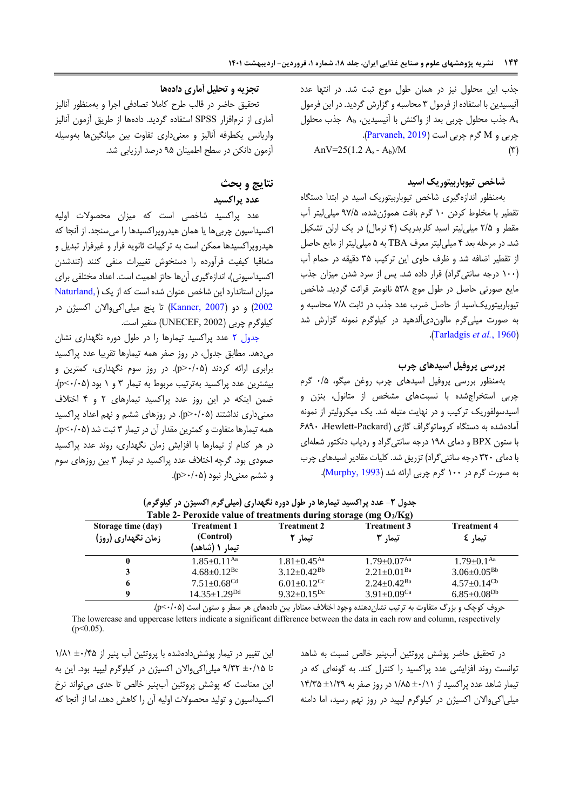جذب این محلول نیز در همان طول موج ثبت شد. در انتها عدد آنیسیدین با استفاده از فرمول 3 محاسبه و گزارش گردید. در این فرمول جذب محلول چربی بعد از واکنش با آنیسیدین،  $A_{\rm b}$  جذب محلول As چربی و M گرم چربی است )[2019 ,Parvaneh](#page-10-6)). AnV=25(1.2 A<sub>s</sub> - A<sub>b</sub>)/M  $($ <sup>r</sup>)

### **شاخص تیوباربیتوریک اسید**

بهمنظور اندازهگیری شاخص تیوباربیتوریک اسید در ابتدا دستگاه تقطیر با مخلوط کردن 15 گرم بافت هموژنشده، 99/0 میلیلیتر آب مقطر و 2/0 میلیلیتر اسید کلریدریک )4 نرمال( در یک ارلن تشکیل شد. در مرحله بعد 4 میلیلیتر معرف TBA به 0 میلیلیتر از مایع حاصل از تقطیر اضافه شد و ظرف حاوی این ترکیب 30 دقیقه در حمام آب )155 درجه سانتیگراد( قرار داده شد. پس از سرد شدن میزان جذب مایع صورتی حاصل در طول موج 031 نانومتر قرائت گردید. شاخص تیوباربیتوریکاسید از حاصل ضرب عدد جذب در ثابت 9/1 محاسبه و به صورت میلیگرم مالوندیآلدهید در کیلوگرم نمونه گزارش شد .)[Tarladgis](#page-10-7) *et al.*, 1960(

#### <span id="page-4-0"></span>**بررسی پروفیل اسیدهای چرب**

بهمنظور بررسی پروفیل اسیدهای چرب روغن میگو، 5/0 گرم چربی استخراجشده با نسبتهای مشخص از متانول، بنزن و اسیدسولفوریک ترکیب و در نهایت متیله شد. یک میکرولیتر از نمونه آمادهشده به دستگاه کروماتوگراف گازی )Packard-Hewlett، 6195 با ستون BPX و دمای 191 درجه سانتیگراد و ردیاب دتکتور شعلهای با دمای 325 درجه سانتیگراد( تزریق شد. کلیات مقادیر اسیدهای چرب به صورت گرم در 155 گرم چربی ارائه شد )[1993 ,Murphy](#page-9-16)).

#### **تجزیه و تحلیل آماری دادهها**

تحقیق حاضر در قالب طرح کامال تصادفی اجرا و بهمنظور آنالیز آماری از نرمافزار SPSS استفاده گردید. دادهها از طریق آزمون آنالیز واریانس یکطرفه آنالیز و معنیداری تفاوت بین میانگینها بهوسیله آزمون دانکن در سطح اطمینان 90 درصد ارزیابی شد.

# **نتایج و بحث**

# **عدد پراکسید**

عدد پراکسید شاخصی است که میزان محصوالت اولیه اکسیداسیون چربیها یا همان هیدروپراکسیدها را میسنجد. از آنجا که هیدروپراکسیدها ممکن است به ترکیبات ثانویه فرار و غیرفرار تبدیل و متعاقبا کیفیت فرآورده را دستخوش تغییرات منفی کنند )تندشدن اکسیداسیونی)، اندازهگیری آنها حائز اهمیت است. اعداد مختلفی برای میزان استاندارد این شاخص عنوان شده است که از یک ) [,Naturland](#page-9-17) [2002](#page-9-17)) و دو (Kanner, 2007) تا پنج میلی اکی والان اکسیژن در کیلوگرم چربی )2002 ,UNECEF )متغیر است.

[جدول 2](#page-4-0) عدد پراکسید تیمارها را در طول دوره نگهداری نشان میدهد. مطابق جدول، در روز صفر همه تیمارها تقریبا عدد پراکسید برابری ارائه کردند )5/50<p). در روز سوم نگهداری، کمترین و بیشترین عدد پراکسید بهترتیب مربوط به تیمار 3 و 1 بود )5/50>p). ضمن اینکه در این روز عدد پراکسید تیمارهای 2 و 4 اختالف معنیداری نداشتند )5/50<p). در روزهای ششم و نهم اعداد پراکسید همه تیمارها متفاوت و کمترین مقدار آن در تیمار 3 ثبت شد )5/50>p). در هر کدام از تیمارها با افزایش زمان نگهداری، روند عدد پراکسید صعودی بود. گرچه اختالف عدد پراکسید در تیمار 3 بین روزهای سوم  $(p>\cdot/\cdot \Delta)$ . و ششم معنی دار نبود (p>

| بجنون / مستعملة بين سنتيته سيسترد المستوري المستقرر بالمستقرر المستقرر بالمستقررات المستقررات المستقررات المستقررات المستقررات المستقررات المستقررات المستقررات المستقررات المستقررات المستقررات المستقررات المستقررات المستقر<br>Table 2- Peroxide value of treatments during storage (mg $O_2/Kg$ ) |                               |                               |                               |                               |  |  |
|-------------------------------------------------------------------------------------------------------------------------------------------------------------------------------------------------------------------------------------------------------------------------------------------------------|-------------------------------|-------------------------------|-------------------------------|-------------------------------|--|--|
| Storage time (day)<br><b>Treatment 3</b><br><b>Treatment 4</b><br><b>Treatment 1</b><br><b>Treatment 2</b><br>(Control)<br>زمان نگهداری (روز)<br>تیمار £<br>تیما, ۲<br>تیما, ۳<br>تیمار ۱ (شاهد)                                                                                                      |                               |                               |                               |                               |  |  |
| $\mathbf 0$                                                                                                                                                                                                                                                                                           | $1.85 \pm 0.11$ <sup>Aa</sup> | $1.81 \pm 0.45$ <sup>Aa</sup> | $1.79 \pm 0.07$ <sup>Aa</sup> | $1.79 \pm 0.1$ <sup>Aa</sup>  |  |  |
| 3                                                                                                                                                                                                                                                                                                     | $4.68 \pm 0.12$ <sup>Bc</sup> | $3.12 \pm 0.42$ <sup>Bb</sup> | $2.21 \pm 0.01$ <sup>Ba</sup> | $3.06\pm0.05^\mathrm{Bb}$     |  |  |
| 6                                                                                                                                                                                                                                                                                                     | $7.51 \pm 0.68^{\text{Cd}}$   | $6.01 \pm 0.12$ <sup>Cc</sup> | $2.24 \pm 0.42$ <sup>Ba</sup> | $4.57 \pm 0.14$ <sup>Cb</sup> |  |  |
| -9                                                                                                                                                                                                                                                                                                    | $14.35 \pm 1.29^{Dd}$         | $9.32 \pm 0.15^{Dc}$          | $3.91 \pm 0.09$ <sup>Ca</sup> | $6.85 \pm 0.08^{Db}$          |  |  |

**جدول -2 عدد پراکسید تیمارها در طول دوره نگهداری )میلیگرم اکسیژن در کیلوگرم(**

حروف کوچک و بزرگ متفاوت به ترتیب نشاندهنده وجود اختالف معنادار بین دادههای هر سطر و ستون است )5/50>p).

The lowercase and uppercase letters indicate a significant difference between the data in each row and column, respectively  $(p<0.05)$ .

این تغییر در تیمار پوششدادهشده با پروتئین آب پنیر از ∆y/۸ + + ۱/۸۱ تا ±5/10 9/32 میلیاکیواالن اکسیژن در کیلوگرم لیپید بود. این به این معناست که پوشش پروتئین آبپنیر خالص تا حدی میتواند نرخ اکسیداسیون و تولید محصوالت اولیه آن را کاهش دهد، اما از آنجا که

در تحقیق حاضر پوشش پروتئین آبپنیر خالص نسبت به شاهد توانست روند افزایشی عدد پراکسید را کنترل کند. به گونهای که در تیمار شاهد عدد پراکسید از ±5/11 1/10 در روز صفر به ±1/29 14/30 میلیاکیواالن اکسیژن در کیلوگرم لیپید در روز نهم رسید، اما دامنه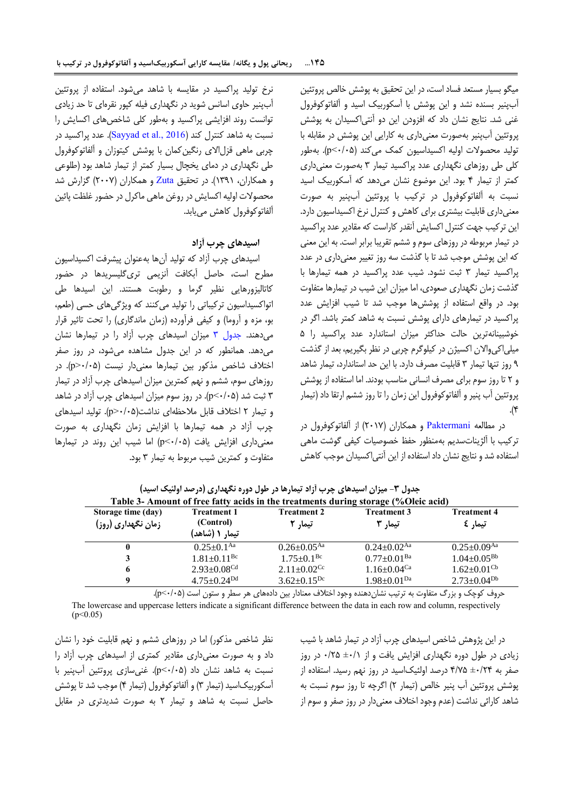میگو بسیار مستعد فساد است، در این تحقیق به پوشش خالص پروتئین آبپنیر بسنده نشد و این پوشش با آسکوربیک اسید و آلفاتوکوفرول غنی شد. نتایج نشان داد که افزودن این دو آنتیاکسیدان به پوشش پروتئین آبپنیر بهصورت معنیداری به کارایی این پوشش در مقابله با تولید محصوالت اولیه اکسیداسیون کمک میکند )5/50>p). بهطور کلی طی روزهای نگهداری عدد پراکسید تیمار 3 بهصورت معنیداری کمتر از تیمار 4 بود. این موضوع نشان میدهد که آسکوربیک اسید نسبت به آلفاتوکوفرول در ترکیب با پروتئین آبپنیر به صورت معنیداری قابلیت بیشتری برای کاهش و کنترل نرخ اکسیداسیون دارد. این ترکیب جهت کنترل اکسایش آنقدر کاراست که مقادیر عدد پراکسید در تیمار مربوطه در روزهای سوم و ششم تقریبا برابر است. به این معنی که این پوشش موجب شد تا با گذشت سه روز تغییر معنیداری در عدد پراکسید تیمار 3 ثبت نشود. شیب عدد پراکسید در همه تیمارها با گذشت زمان نگهداری صعودی، اما میزان این شیب در تیمارها متفاوت بود. در واقع استفاده از پوششها موجب شد تا شیب افزایش عدد پراکسید در تیمارهای دارای پوشش نسبت به شاهد کمتر باشد. اگر در خوشبینانهترین حالت حداکثر میزان استاندارد عدد پراکسید را 0 میلیاکیواالن اکسیژن در کیلوگرم چربی در نظر بگیریم، بعد از گذشت 9 روز تنها تیمار 3 قابلیت مصرف دارد. با این حد استاندارد، تیمار شاهد و 2 تا روز سوم برای مصرف انسانی مناسب بودند. اما استفاده از پوشش پروتئین آب پنیر و آلفاتوکوفرول این زمان را تا روز ششم ارتقا داد )تیمار  $\cdot$ (۴

<span id="page-5-0"></span>در مطالعه [Paktermani](#page-10-8) و همکاران )2519( از آلفاتوکوفرول در ترکیب با آلژیناتسدیم بهمنظور حفظ خصوصیات کیفی گوشت ماهی استفاده شد و نتایج نشان داد استفاده از این آنتیاکسیدان موجب کاهش

نرخ تولید پراکسید در مقایسه با شاهد میشود. استفاده از پروتئین آبپنیر حاوی اسانس شوید در نگهداری فیله کپور نقرهای تا حد زیادی توانست روند افزایشی پراکسید و بهطور کلی شاخصهای اکسایش را نسبت به شاهد کنترل کند (Sayyad et al., 2016). عدد پراکسید در چربی ماهی قزلاالی رنگینکمان با پوشش کیتوزان و آلفاتوکوفرول طی نگهداری در دمای یخچال بسیار کمتر از تیمار شاهد بود )طلوعی و همکاران، ۱۳۹۱). در تحقیق [Zuta](#page-10-4) و همکاران (۲۰۰۷) گزارش شد محصوالت اولیه اکسایش در روغن ماهی ماکرل در حضور غلظت پائین آلفاتوکوفرول کاهش مییابد.

## **اسیدهای چرب آزاد**

اسیدهای چرب آزاد که تولید آنها بهعنوان پیشرفت اکسیداسیون مطرح است، حاصل آبکافت آنزیمی تریگلیسریدها در حضور کاتالیزورهایی نظیر گرما و رطوبت هستند. این اسیدها طی اتواکسیداسیون ترکیباتی را تولید میکنند که ویژگیهای حسی (طعم، بو، مزه و آروما) و کیفی فرآورده (زمان ماندگاری) را تحت تاثیر قرار میدهند. [جدول 3](#page-5-0) میزان اسیدهای چرب آزاد را در تیمارها نشان میدهد. همانطور که در این جدول مشاهده میشود، در روز صفر اختالف شاخص مذکور بین تیمارها معنیدار نیست )5/50<p). در روزهای سوم، ششم و نهم کمترین میزان اسیدهای چرب آزاد در تیمار 3 ثبت شد )5/50>p). در روز سوم میزان اسیدهای چرب آزاد در شاهد و تیمار 2 اختالف قابل مالحظهای نداشت)5/50<p). تولید اسیدهای چرب آزاد در همه تیمارها با افزایش زمان نگهداری به صورت معنیداری افزایش یافت )5/50>p )اما شیب این روند در تیمارها متفاوت و کمترین شیب مربوط به تیمار 3 بود.

|                                          |                                                     |                               | Table 3- Amount of free fatty acids in the treatments during storage (%Oleic acid) |                               |
|------------------------------------------|-----------------------------------------------------|-------------------------------|------------------------------------------------------------------------------------|-------------------------------|
| Storage time (day)<br>زمان نگهداری (روز) | <b>Treatment 1</b><br>(Control)<br>- تیمار ۱ (شاهد) | <b>Treatment 2</b><br>تیما, 2 | <b>Treatment 3</b><br>تیما, ۳                                                      | <b>Treatment 4</b><br>تیمار £ |
| 0                                        | $0.25 \pm 0.1$ <sup>Aa</sup>                        | $0.26 \pm 0.05^{\rm Aa}$      | $0.24 \pm 0.02$ <sup>Aa</sup>                                                      | $0.25 \pm 0.09$ <sup>Aa</sup> |
| 3                                        | $1.81 \pm 0.11$ <sup>Bc</sup>                       | $1.75 \pm 0.1^{\rm Bc}$       | $0.77 \pm 0.01$ <sup>Ba</sup>                                                      | $1.04 \pm 0.05^{Bb}$          |
| 6                                        | $2.93 \pm 0.08$ <sup>Cd</sup>                       | $2.11 \pm 0.02$ <sup>Cc</sup> | $1.16 \pm 0.04$ <sup>Ca</sup>                                                      | $1.62 \pm 0.01$ <sup>Cb</sup> |
| Q                                        | $4.75 \pm 0.24^{Dd}$                                | $3.62 \pm 0.15^{Dc}$          | $1.98 \pm 0.01^{Da}$                                                               | $2.73 \pm 0.04^{Db}$          |

**جدول -3 میزان اسیدهای چرب آزاد تیمارها در طول دوره نگهداری )درصد اولئیک اسید(**

حروف کوچک و بزرگ متفاوت به ترتیب نشان دهنده وجود اختلاف معنادار بین دادههای هر سطر و ستون است (p<-/-8).

The lowercase and uppercase letters indicate a significant difference between the data in each row and column, respectively  $(p<0.05)$ 

نظر شاخص مذکور( اما در روزهای ششم و نهم قابلیت خود را نشان داد و به صورت معنیداری مقادیر کمتری از اسیدهای چرب آزاد را نسبت به شاهد نشان داد )5/50>p). غنیسازی پروتئین آبپنیر با آسکوربیکاسید )تیمار 3( و آلفاتوکوفرول )تیمار 4( موجب شد تا پوشش حاصل نسبت به شاهد و تیمار 2 به صورت شدیدتری در مقابل

در این پژوهش شاخص اسیدهای چرب آزاد در تیمار شاهد با شیب زیادی در طول دوره نگهداری افزایش یافت و از ١/٠± ٠/٢۵ در روز صفر به ±5/24 4/90 درصد اولئیکاسید در روز نهم رسید. استفاده از پوشش پروتئین آب پنیر خالص )تیمار 2( اگرچه تا روز سوم نسبت به شاهد کارائی نداشت )عدم وجود اختالف معنیدار در روز صفر و سوم از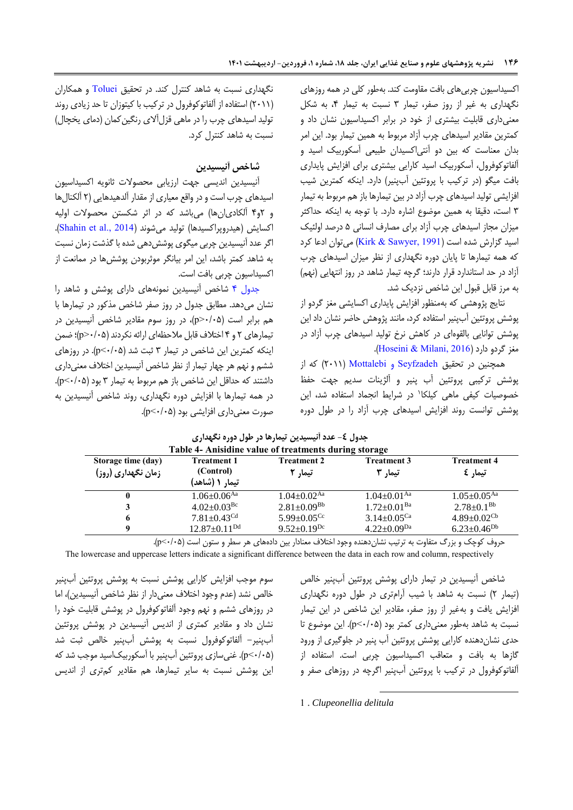اکسیداسیون چربیهای بافت مقاومت کند. بهطور کلی در همه روزهای نگهداری به غیر از روز صفر، تیمار 3 نسبت به تیمار ،4 به شکل معنیداری قابلیت بیشتری از خود در برابر اکسیداسیون نشان داد و کمترین مقادیر اسیدهای چرب آزاد مربوط به همین تیمار بود. این امر بدان معناست که بین دو آنتیاکسیدان طبیعی آسکوربیک اسید و آلفاتوکوفرول، آسکوربیک اسید کارایی بیشتری برای افزایش پایداری بافت میگو )در ترکیب با پروتئین آبپنیر( دارد. اینکه کمترین شیب افزایشی تولید اسیدهای چرب آزاد در بین تیمارها باز هم مربوط به تیمار 3 است، دقیقا به همین موضوع اشاره دارد. با توجه به اینکه حداکثر میزان مجاز اسیدهای چرب آزاد برای مصارف انسانی 0 درصد اولئیک اسید گزارش شده است (Kirk & Sawyer, 1991) می توان ادعا کرد که همه تیمارها تا پایان دوره نگهداری از نظر میزان اسیدهای چرب آزاد در حد استاندارد قرار دارند؛ گرچه تیمار شاهد در روز انتهایی )نهم( به مرز قابل قبول این شاخص نزدیک شد.

نتایج پژوهشی که بهمنظور افزایش پایداری اکسایشی مغز گردو از پوشش پروتئین آبپنیر استفاده کرد، مانند پژوهش حاضر نشان داد این پوشش توانایی بالقوهای در کاهش نرخ تولید اسیدهای چرب آزاد در مغز گردو دارد (Hoseini & Milani, 2016).

<span id="page-6-0"></span>همچنین در تحقیق [Seyfzadeh](#page-9-12) و Mottalebi( 2511 )که از پوشش ترکیبی پروتئین آب پنیر و آلژینات سدیم جهت حفظ خصوصیات کیفی ماهی کیلکا<sup>۰</sup> در شرایط انجماد استفاده شد، این پوشش توانست روند افزایش اسیدهای چرب آزاد را در طول دوره

نگهداری نسبت به شاهد کنترل کند. در تحقیق [Toluei](#page-10-9) و همکاران )2511( استفاده از آلفاتوکوفرول در ترکیب با کیتوزان تا حد زیادی روند تولید اسیدهای چرب را در ماهی قزل آلای رنگین کمان (دمای یخچال) نسبت به شاهد کنترل کرد.

# **شاخص آنیسیدین**

آنیسیدین اندیسی جهت ارزیابی محصوالت ثانویه اکسیداسیون اسیدهای چرب است و در واقع معیاری از مقدار آلدهیدهایی )2 آلکنالها و 2و4 آلکادیانها( میباشد که در اثر شکستن محصوالت اولیه اکسایش (هیدروپراکسیدها) تولید می شوند (Shahin et al., 2014). اگر عدد آنیسیدین چربی میگوی پوششدهی شده با گذشت زمان نسبت به شاهد کمتر باشد، این امر بیانگر موثربودن پوششها در ممانعت از اکسیداسیون چربی بافت است.

[جدول 4](#page-6-0) شاخص آنیسیدین نمونههای دارای پوشش و شاهد را نشان میدهد. مطابق جدول در روز صفر شاخص مذکور در تیمارها با هم برابر است )5/50<p)، در روز سوم مقادیر شاخص آنیسیدین در تیمارهای 2 و 4 اختالف قابل مالحظهای ارائه نکردند )5/50<p)؛ ضمن اینکه کمترین این شاخص در تیمار ۳ ثبت شد (p<٠/٠۵). در روزهای ششم و نهم هر چهار تیمار از نظر شاخص آنیسیدین اختالف معنیداری داشتند که حداقل این شاخص باز هم مربوط به تیمار ۳ بود (p<٠/٠۵). در همه تیمارها با افزایش دوره نگهداری، روند شاخص آنیسیدین به صورت معنیداری افزایشی بود )5/50>p).

| Table 4- Anisidine value of treatments during storage |                                                   |                               |                               |                               |  |  |
|-------------------------------------------------------|---------------------------------------------------|-------------------------------|-------------------------------|-------------------------------|--|--|
| Storage time (day)<br>زمان نگهداری (روز)              | <b>Treatment 1</b><br>(Control)<br>تیمار ۱ (شاهد) | <b>Treatment 2</b><br>تیما, ۲ | <b>Treatment 3</b><br>تیما, ۳ | <b>Treatment 4</b><br>تیمار £ |  |  |
|                                                       | $1.06 \pm 0.06$ <sup>Aa</sup>                     | $1.04 \pm 0.02$ <sup>Aa</sup> | $1.04 \pm 0.01$ <sup>Aa</sup> | $1.05 + 0.05$ <sup>Aa</sup>   |  |  |
|                                                       | $4.02 \pm 0.03$ <sup>Bc</sup>                     | $2.81 \pm 0.09^{Bb}$          | $1.72 \pm 0.01$ <sup>Ba</sup> | $2.78 \pm 0.1^\mathrm{Bb}$    |  |  |
| 6                                                     | $7.81 \pm 0.43$ <sup>Cd</sup>                     | $5.99 \pm 0.05$ <sup>Cc</sup> | $3.14 \pm 0.05$ <sup>Ca</sup> | $4.89 \pm 0.02$ <sup>Cb</sup> |  |  |
| Q                                                     | $12.87 \pm 0.11^{Dd}$                             | $9.52 \pm 0.19$ <sup>Dc</sup> | $4.22 \pm 0.09^{Da}$          | $6.23 \pm 0.46^{Db}$          |  |  |

|  |  | جدول ٤- عدد آنیسیدین تیمارها در طول دوره نگهداری |
|--|--|--------------------------------------------------|
|  |  |                                                  |

حروف کوچک و بزرگ متفاوت به ترتیب نشاندهنده وجود اختالف معنادار بین دادههای هر سطر و ستون است )5/50>p).

The lowercase and uppercase letters indicate a significant difference between the data in each row and column, respectively

سوم موجب افزایش کارایی پوشش نسبت به پوشش پروتئین آبپنیر خالص نشد (عدم وجود اختلاف معنیدار از نظر شاخص آنیسیدین)، اما در روزهای ششم و نهم وجود آلفاتوکوفرول در پوشش قابلیت خود را نشان داد و مقادیر کمتری از اندیس آنیسیدین در پوشش پروتئین آبپنیر- آلفاتوکوفرول نسبت به پوشش آبپنیر خالص ثبت شد )5/50>p). غنیسازی پروتئین آبپنیر با آسکوربیکاسید موجب شد که این پوشش نسبت به سایر تیمارها، هم مقادیر کمتری از اندیس شاخص آنیسیدین در تیمار دارای پوشش پروتئین آبپنیر خالص )تیمار 2( نسبت به شاهد با شیب آرامتری در طول دوره نگهداری افزایش یافت و بهغیر از روز صفر، مقادیر این شاخص در این تیمار نسبت به شاهد بهطور معنیداری کمتر بود )5/50>p). این موضوع تا حدی نشاندهنده کارایی پوشش پروتئین آب پنیر در جلوگیری از ورود گازها به بافت و متعاقب اکسیداسیون چربی است. استفاده از آلفاتوکوفرول در ترکیب با پروتئین آبپنیر اگرچه در روزهای صفر و

1 . *Clupeonellia delitula*

1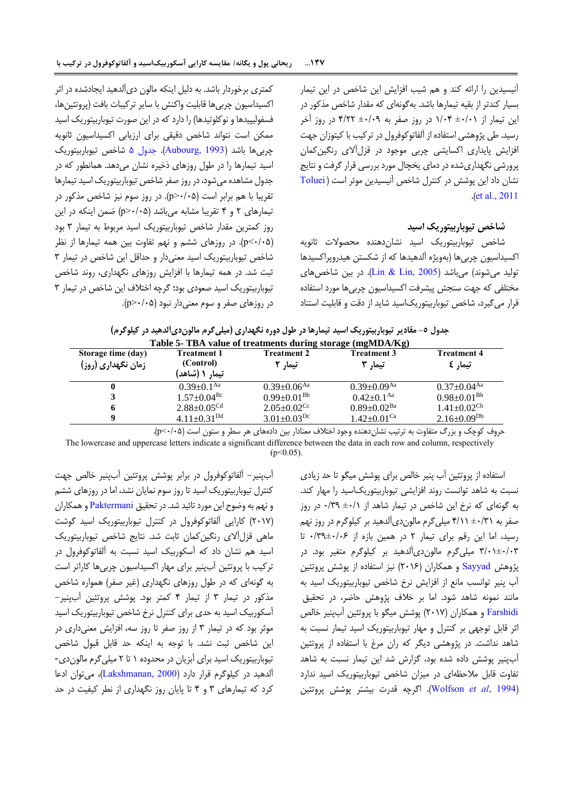آنیسیدین را ارائه کند و هم شیب افزایش این شاخص در این تیمار بسیار کندتر از بقیه تیمارها باشد. بهگونهای که مقدار شاخص مذکور در این تیمار از ±5/51 1/54 در روز صفر به ±5/59 4/22 در روز آخر رسید. طی پژوهشی استفاده از آلفاتوکوفرول در ترکیب با کیتوزان جهت افزایش پایداری اکسایشی چربی موجود در قزلآالی رنگینکمان پرورشی نگهداریشده در دمای یخچال مورد بررسی قرار گرفت و نتایج نشان داد این پوشش در کنترل شاخص آنیسیدین موثر است ) [Toluei](#page-10-9) .)[et al., 2011](#page-10-9)

## <span id="page-7-0"></span>**شاخص تیوباربیتوریک اسید**

شاخص تیوباربیتوریک اسید نشاندهنده محصوالت ثانویه اکسیداسیون چربیها )بهویژه آلدهیدها که از شکستن هیدروپراکسیدها تولید می شوند) میباشد (Lin & Lin, 2005). در بین شاخصهای مختلفی که جهت سنجش پیشرفت اکسیداسیون چربیها مورد استفاده قرار میگیرد، شاخص تیوباربیتوریکاسید شاید از دقت و قابلیت استناد

کمتری برخوردار باشد. به دلیل اینکه مالون دیآلدهید ایجادشده در اثر اکسیداسیون چربیها قابلیت واکنش با سایر ترکیبات بافت )پروتئینها، فسفولیپیدها و نوکلوتیدها) را دارد که در این صورت تیوباربیتوریک اسید ممکن است نتواند شاخص دقیقی برای ارزیابی اکسیداسیون ثانویه چربیها باشد )[1993 ,Aubourg](#page-9-8)). [جدول 0](#page-7-0) شاخص تیوباربیتوریک اسید تیمارها را در طول روزهای ذخیره نشان میدهد. همانطور که در جدول مشاهده میشود، در روز صفر شاخص تیوباربیتوریک اسید تیمارها تقریبا با هم برابر است )5/50<p). در روز سوم نیز شاخص مذکور در تیمارهای 2 و 4 تقریبا مشابه میباشد )5/50<p )ضمن اینکه در این روز کمترین مقدار شاخص تیوباربیتوریک اسید مربوط به تیمار 3 بود )5/50>p). در روزهای ششم و نهم تفاوت بین همه تیمارها از نظر شاخص تیوباربیتوریک اسید معنیدار و حداقل این شاخص در تیمار 3 ثبت شد. در همه تیمارها با افزایش روزهای نگهداری، روند شاخص تیوباربیتوریک اسید صعودی بود؛ گرچه اختالف این شاخص در تیمار 3  $(p > \cdot / \cdot \Delta)$ در روزهای صفر و سوم معنی دار نبود (p>

|                |             |             | جدول ٥- مقادیر تیوباربیتوریک اسید تیمارها در طول دوره نکهداری (میلی کرم مالوندیالدهید در کیلوکرم) |        |
|----------------|-------------|-------------|---------------------------------------------------------------------------------------------------|--------|
|                |             |             | Table 5- TBA value of treatments during storage (mgMDA/Kg)                                        |        |
| age time (day) | Treatment 1 | Treatment 2 | Treatment 3                                                                                       | Treatr |

| Storage time (day)<br>Treatment 1<br>(Control)<br>زمان نگهداری (روز)<br>تیمار ۱ (شاهد) |                                      | Treatment 2<br>تیما, ۲         | <b>Treatment 3</b><br>تیما, ۳ | <b>Treatment 4</b><br>تیمار کا |
|----------------------------------------------------------------------------------------|--------------------------------------|--------------------------------|-------------------------------|--------------------------------|
|                                                                                        | $0.39+0.1$ <sup>Aa</sup>             | $0.39 \pm 0.06$ <sup>Aa</sup>  | $0.39 + 0.09$ <sup>Aa</sup>   | $0.37 \pm 0.04$ <sup>Aa</sup>  |
|                                                                                        | $1.57 \pm 0.04$ <sup>Bc</sup>        | $0.99 \pm 0.01^{Bb}$           | $0.42{\pm}0.1^{\rm Aa}$       | $0.98 \pm 0.01^\mathrm{Bb}$    |
|                                                                                        | $2.88{\pm}0.05^{\mathrm{Cd}}$        | $2.05 \pm 0.02$ <sup>Cc</sup>  | $0.89 \pm 0.02$ <sup>Ba</sup> | $1.41 \pm 0.02$ <sup>Cb</sup>  |
|                                                                                        | $4.11 \pm 0.31^{Dd}$                 | $3.01 \pm 0.03$ <sup>Dc</sup>  | $1.42 \pm 0.01$ <sup>Ca</sup> | $2.16\pm0.09^\mathrm{Db}$      |
|                                                                                        | $\cdots$<br>$\overline{\phantom{a}}$ | .<br>$\sim$ $\sim$ $\sim$<br>. |                               | .                              |

حروف کوچک و بزرگ متفاوت به ترتیب نشاندهنده وجود اختالف معنادار بین دادههای هر سطر و ستون است )5/50>p).

The lowercase and uppercase letters indicate a significant difference between the data in each row and column, respectively  $(n<0.05)$ 

آبپنیر- آلفاتوکوفرول در برابر پوشش پروتئین آبپنیر خالص جهت کنترل تیوباربیتوریک اسید تا روز سوم نمایان نشد، اما در روزهای ششم و نهم به وضوح این مورد تائید شد. در تحقیق [Paktermani](#page-10-8) و همکاران )2519( کارایی آلفاتوکوفرول در کنترل تیوباربیتوریک اسید گوشت ماهی قزلآالی رنگینکمان ثابت شد. نتایج شاخص تیوباربیتوریک اسید هم نشان داد که آسکوربیک اسید نسبت به آلفاتوکوفرول در ترکیب با پروتئین آبپنیر برای مهار اکسیداسیون چربیها کاراتر است به گونهای که در طول روزهای نگهداری (غیر صفر) همواره شاخص مذکور در تیمار 3 از تیمار 4 کمتر بود. پوشش پروتئین آبپنیر- آسکوربیک اسید به حدی برای کنترل نرخ شاخص تیوباربیتوریک اسید موثر بود که در تیمار 3 از روز صفر تا روز سه، افزایش معنیداری در این شاخص ثبت نشد. با توجه به اینکه حد قابل قبول شاخص تیوباربیتوریک اسید برای آبزیان در محدوده 1 تا 2 میلیگرم مالوندی- آلدهید در کیلوگرم قرار دارد )[2000 ,Lakshmanan](#page-9-21))، میتوان ادعا کرد که تیمارهای 3 و 4 تا پایان روز نگهداری از نطر کیفیت در حد استفاده از پروتئین آب پنیر خالص برای پوشش میگو تا حد زیادی نسبت به شاهد توانست روند افزایشی تیوباربیتوریکاسید را مهار کند. به گونهای که نرخ این شاخص در تیمار شاهد از ±5/1 5/39 در روز صفر به ±5/31 4/11 میلیگرم مالوندیآلدهید بر کیلوگرم در روز نهم رسید، اما این رقم برای تیمار 2 در همین بازه از 5/39±5/56 تا 3/51±5/53 میلیگرم مالوندیآلدهید بر کیلوگرم متغیر بود. در پژوهش [Sayyad](#page-10-5) و همکاران (۲۰۱۶) نیز استفاده از پوشش پروتئین آب پنیر توانسب مانع از افزایش نرخ شاخص تیوباربیتوریک اسید به مانند نمونه شاهد شود. اما بر خالف پژوهش حاضر، در تحقیق [Farshidi](#page-9-6) و همکاران )2519( پوشش میگو با پروتئین آبپنیر خالص اثر قابل توجهی بر کنترل و مهار تیوباربیتوریک اسید تیمار نسبت به شاهد نداشت. در پژوهشی دیگر که ران مرغ با استفاده از پروتئین آبپنیر پوشش داده شده بود، گزارش شد این تیمار نسبت به شاهد تفاوت قابل مالحظهای در میزان شاخص تیوباربیتوریک اسید ندارد )1994 ,*al et* [Wolfson](#page-10-11)). اگرچه قدرت بیشتر پوشش پروتئین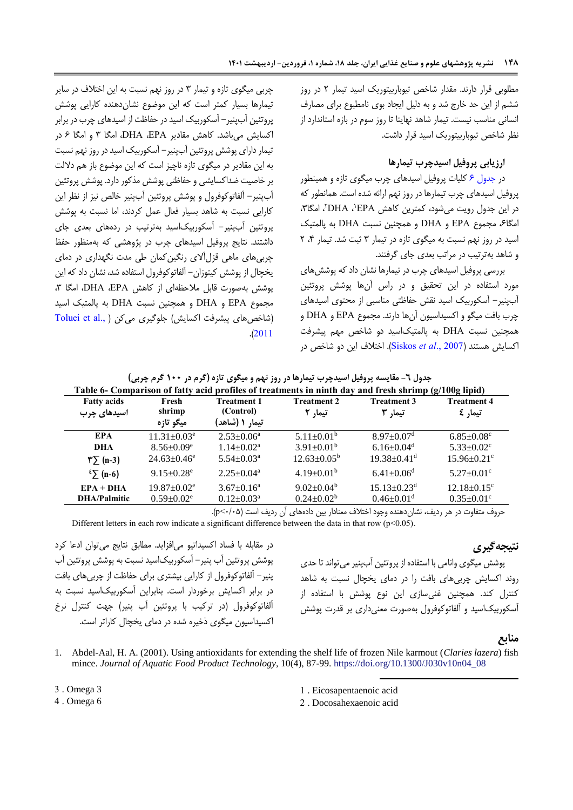مطلوبی قرار دارند. مقدار شاخص تیوباربیتوریک اسید تیمار 2 در روز ششم از این حد خارج شد و به دلیل ایجاد بوی نامطبوع برای مصارف انسانی مناسب نیست. تیمار شاهد نهایتا تا روز سوم در بازه استاندارد از نظر شاخص تیوباربیتوریک اسید قرار داشت.

## **ارزیابی پروفیل اسیدچرب تیمارها**

در [جدول 6](#page-8-1) کلیات پروفیل اسیدهای چرب میگوی تازه و همینطور پروفیل اسیدهای چرب تیمارها در روز نهم ارائه شده است. همانطور که در این جدول رویت میشود، کمترین کاهش DHA ،`EPA'، امگا۳، امگاع، مجموع EPA و DHA و همچنین نسبت DHA به پالمتیک اسید در روز نهم نسبت به میگوی تازه در تیمار ٣ ثبت شد. تیمار ۴، ٢ و شاهد بهترتیب در مراتب بعدی جای گرفتند.

<span id="page-8-1"></span>بررسی پروفیل اسیدهای چرب در تیمارها نشان داد که پوششهای مورد استفاده در این تحقیق و در راس آنها پوشش پروتئین آبپنیر- آسکوربیک اسید نقش حفاظتی مناسبی از محتوی اسیدهای چرب بافت میگو و اکسیداسیون آنها دارند. مجموع EPA و DHA و همچنین نسبت DHA به پالمتیکاسید دو شاخص مهم پیشرفت اکسایش هستند )2007 .,*al et* [Siskos](#page-10-12)). اختالف این دو شاخص در

چربی میگوی تازه و تیمار 3 در روز نهم نسبت به این اختالف در سایر تیمارها بسیار کمتر است که این موضوع نشاندهنده کارایی پوشش پروتئین آبپنیر- آسکوربیک اسید در حفاظت از اسیدهای چرب در برابر اکسایش میباشد. کاهش مقادیر EPA، DHA، امگا 3 و امگا 6 در تیمار دارای پوشش پروتئین آبپنیر- آسکوربیک اسید در روز نهم نسبت به این مقادیر در میگوی تازه ناچیز است که این موضوع باز هم داللت بر خاصیت ضداکسایشی و حفاظتی پوشش مذکور دارد. پوشش پروتئین آبپنیر- آلفاتوکوفرول و پوشش پروتئین آبپنیر خالص نیز از نظر این کارایی نسبت به شاهد بسیار فعال عمل کردند، اما نسبت به پوشش پروتئین آبپنیر- آسکوربیکاسید بهترتیب در ردههای بعدی جای داشتند. نتایج پروفیل اسیدهای چرب در پژوهشی که بهمنظور حفظ چربیهای ماهی قزلآالی رنگینکمان طی مدت نگهداری در دمای یخچال از پوشش کیتوزان- آلفاتوکوفرول استفاده شد، نشان داد که این پوشش بهصورت قابل مالحظهای از کاهش EPA، DHA، امگا ،3 مجموع EPA و DHA و همچنین نسبت DHA به پالمتیک اسید (شاخصهای پیشرفت اکسایش[\)](#page-10-9) جلوگیری میکن ( ,.Toluei et al .)[2011](#page-10-9)

| ٔ جدول ٦- مقایسه پروفیل اسیدچرب تیمارها در روز نهم و میگوی تازه (کرم در ۱۰۰ کرم چربی) |  |
|---------------------------------------------------------------------------------------|--|
|---------------------------------------------------------------------------------------|--|

| Table 6- Comparison of fatty acid profiles of treatments in ninth day and fresh shrimp (g/100g lipid) |                               |                    |                          |                               |                               |  |
|-------------------------------------------------------------------------------------------------------|-------------------------------|--------------------|--------------------------|-------------------------------|-------------------------------|--|
| <b>Fatty acids</b>                                                                                    | Fresh                         | <b>Treatment 1</b> | <b>Treatment 2</b>       | <b>Treatment 3</b>            | <b>Treatment 4</b>            |  |
| اسیدهای چرب                                                                                           | shrimp                        | (Control)          | تیمار ۲                  | تیما, 3                       | تیمار کا                      |  |
|                                                                                                       | میگو تازه                     | تیمار ۱ (شاهد)     |                          |                               |                               |  |
| <b>EPA</b>                                                                                            | $11.31 \pm 0.03$ <sup>e</sup> | $2.53 \pm 0.06^a$  | $5.11 \pm 0.01^b$        | $8.97 \pm 0.07$ <sup>d</sup>  | $6.85 \pm 0.08$ <sup>c</sup>  |  |
| DHA                                                                                                   | $8.56 \pm 0.09$ <sup>e</sup>  | $1.14 \pm 0.02^a$  | $3.91 \pm 0.01^b$        | $6.16 \pm 0.04$ <sup>d</sup>  | $5.33 \pm 0.02$ <sup>c</sup>  |  |
| $\sqrt{\pi}$ (n-3)                                                                                    | $24.63 + 0.46^e$              | $5.54 + 0.03a$     | $12.63 \pm 0.05^{\rm b}$ | $19.38 \pm 0.41$ <sup>d</sup> | $15.96 \pm 0.21$ <sup>c</sup> |  |
| $\sum$ (n-6)                                                                                          | $9.15 \pm 0.28$ <sup>e</sup>  | $2.25 \pm 0.04^a$  | $4.19 \pm 0.01^b$        | $6.41 \pm 0.06$ <sup>d</sup>  | $5.27 \pm 0.01$ °             |  |
| $EPA + DHA$                                                                                           | $19.87 \pm 0.02$ <sup>e</sup> | $3.67 \pm 0.16^a$  | $9.02 \pm 0.04^b$        | $15.13 \pm 0.23$ <sup>d</sup> | $12.18 \pm 0.15$ <sup>c</sup> |  |
| <b>DHA/Palmitic</b>                                                                                   | $0.59 \pm 0.02$ <sup>e</sup>  | $0.12 \pm 0.03^a$  | $0.24 \pm 0.02^b$        | $0.46 \pm 0.01$ <sup>d</sup>  | $0.35 \pm 0.01$ <sup>c</sup>  |  |

حروف متفاوت در هر ردیف، نشاندهنده وجود اختالف معنادار بین دادههای آن ردیف است )5/50>p).

Different letters in each row indicate a significant difference between the data in that row ( $p$  < 0.05).

# **نتیجهگیری**

در مقابله با فساد اکسیداتیو میافزاید. مطابق نتایج میتوان ادعا کرد پوشش پروتئین آب پنیر- آسکوربیکاسید نسبت به پوشش پروتئین آب پنیر- آلفاتوکوفرول از کارایی بیشتری برای حفاظت از چربیهای بافت در برابر اکسایش برخوردار است. بنابراین آسکوربیکاسید نسبت به آلفاتوکوفرول )در ترکیب با پروتئین آب پنیر( جهت کنترل نرخ اکسیداسیون میگوی ذخیره شده در دمای یخچال کاراتر است.

پوشش میگوی وانامی با استفاده از پروتئین آبپنیر میتواند تا حدی روند اکسایش چربیهای بافت را در دمای یخچال نسبت به شاهد کنترل کند. همچنین غنیسازی این نوع پوشش با استفاده از آسکوربیکاسید و آلفاتوکوفرول بهصورت معنیداری بر قدرت پوشش

## <span id="page-8-0"></span>**منابع**

- 1. Abdel-Aal, H. A. (2001). Using antioxidants for extending the shelf life of frozen Nile karmout (*Claries lazera*) fish mince. *Journal of Aquatic Food Product Technology*, 10(4), 87-99. [https://doi.org/10.1300/J030v10n04\\_08](https://doi.org/10.1300/J030v10n04_08)
- 3 . Omega 3
- 4 . Omega 6

1 . Eicosapentaenoic acid

1

2 . Docosahexaenoic acid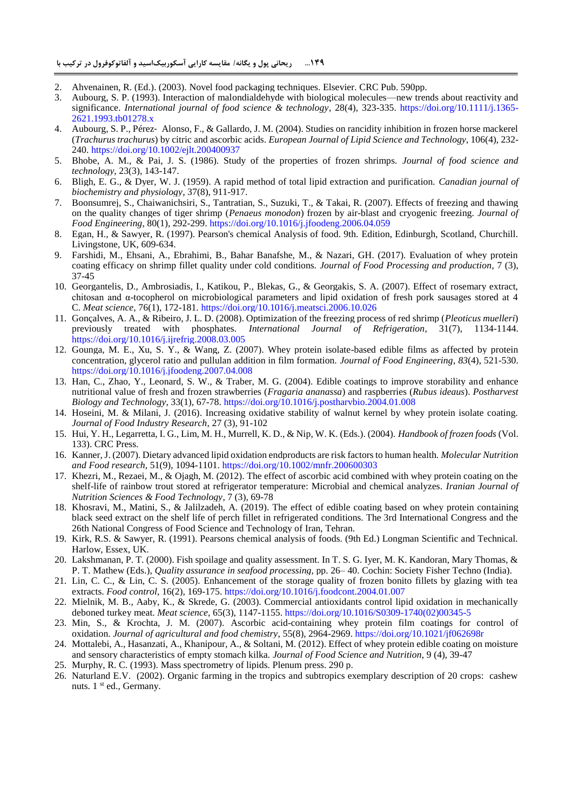- <span id="page-9-0"></span>2. Ahvenainen, R. (Ed.). (2003). Novel food packaging techniques. Elsevier. CRC Pub. 590pp.
- 3. Aubourg, S. P. (1993). Interaction of malondialdehyde with biological molecules—new trends about reactivity and significance. *International journal of food science & technology*, 28(4), 323-335. [https://doi.org/10.1111/j.1365-](https://doi.org/10.1111/j.1365-2621.1993.tb01278.x) [2621.1993.tb01278.x](https://doi.org/10.1111/j.1365-2621.1993.tb01278.x)
- <span id="page-9-8"></span>4. Aubourg, S. P., Pérez‐ Alonso, F., & Gallardo, J. M. (2004). Studies on rancidity inhibition in frozen horse mackerel (*Trachurus trachurus*) by citric and ascorbic acids. *European Journal of Lipid Science and Technology*, 106(4), 232- 240. <https://doi.org/10.1002/ejlt.200400937>
- <span id="page-9-2"></span>5. Bhobe, A. M., & Pai, J. S. (1986). Study of the properties of frozen shrimps. *Journal of food science and technology*, 23(3), 143-147.
- <span id="page-9-14"></span>6. Bligh, E. G., & Dyer, W. J. (1959). A rapid method of total lipid extraction and purification. *Canadian journal of biochemistry and physiology*, 37(8), 911-917.
- <span id="page-9-3"></span>7. Boonsumrej, S., Chaiwanichsiri, S., Tantratian, S., Suzuki, T., & Takai, R. (2007). Effects of freezing and thawing on the quality changes of tiger shrimp (*Penaeus monodon*) frozen by air-blast and cryogenic freezing. *Journal of Food Engineering*, 80(1), 292-299. <https://doi.org/10.1016/j.jfoodeng.2006.04.059>
- <span id="page-9-15"></span>8. Egan, H., & Sawyer, R. (1997). Pearson's chemical Analysis of food. 9th. Edition, Edinburgh, Scotland, Churchill. Livingstone, UK, 609-634.
- <span id="page-9-6"></span>9. Farshidi, M., Ehsani, A., Ebrahimi, B., Bahar Banafshe, M., & Nazari, GH. (2017). Evaluation of whey protein coating efficacy on shrimp fillet quality under cold conditions. *Journal of Food Processing and production*, 7 (3), 37-45
- <span id="page-9-9"></span>10. Georgantelis, D., Ambrosiadis, I., Katikou, P., Blekas, G., & Georgakis, S. A. (2007). Effect of rosemary extract, chitosan and α-tocopherol on microbiological parameters and lipid oxidation of fresh pork sausages stored at 4 C. *Meat science*, 76(1), 172-181. <https://doi.org/10.1016/j.meatsci.2006.10.026>
- <span id="page-9-4"></span>11. Gonçalves, A. A., & Ribeiro, J. L. D. (2008). Optimization of the freezing process of red shrimp (*Pleoticus muelleri*) previously treated with phosphates*. International Journal of Refrigeration*, 31(7), 1134-1144. <https://doi.org/10.1016/j.ijrefrig.2008.03.005>
- <span id="page-9-1"></span>12. Gounga, M. E., Xu, S. Y., & Wang, Z. (2007). Whey protein isolate-based edible films as affected by protein concentration, glycerol ratio and pullulan addition in film formation. *Journal of Food Engineering*, *83*(4), 521-530. <https://doi.org/10.1016/j.jfoodeng.2007.04.008>
- <span id="page-9-7"></span>13. Han, C., Zhao, Y., Leonard, S. W., & Traber, M. G. (2004). Edible coatings to improve storability and enhance nutritional value of fresh and frozen strawberries (*Fragaria ananassa*) and raspberries (*Rubus ideaus*). *Postharvest Biology and Technology*, 33(1), 67-78. <https://doi.org/10.1016/j.postharvbio.2004.01.008>
- <span id="page-9-11"></span>14. Hoseini, M. & Milani, J. (2016). Increasing oxidative stability of walnut kernel by whey protein isolate coating. *Journal of Food Industry Research*, 27 (3), 91-102
- <span id="page-9-5"></span>15. Hui, Y. H., Legarretta, I. G., Lim, M. H., Murrell, K. D., & Nip, W. K. (Eds.). (2004). *Handbook of frozen foods* (Vol. 133). CRC Press.
- <span id="page-9-18"></span>16. Kanner, J. (2007). Dietary advanced lipid oxidation endproducts are risk factors to human health. *Molecular Nutrition and Food research*, 51(9), 1094-1101. <https://doi.org/10.1002/mnfr.200600303>
- <span id="page-9-10"></span>17. Khezri, M., Rezaei, M., & Ojagh, M. (2012). The effect of ascorbic acid combined with whey protein coating on the shelf-life of rainbow trout stored at refrigerator temperature: Microbial and chemical analyzes. *Iranian Journal of Nutrition Sciences & Food Technology*, 7 (3), 69-78
- 18. Khosravi, M., Matini, S., & Jalilzadeh, A. (2019). The effect of edible coating based on whey protein containing black seed extract on the shelf life of perch fillet in refrigerated conditions. The 3rd International Congress and the 26th National Congress of Food Science and Technology of Iran, Tehran.
- <span id="page-9-19"></span>19. Kirk, R.S. & Sawyer, R. (1991). Pearsons chemical analysis of foods. (9th Ed.) Longman Scientific and Technical. Harlow, Essex, UK.
- <span id="page-9-21"></span>20. Lakshmanan, P. T. (2000). Fish spoilage and quality assessment. In T. S. G. Iyer, M. K. Kandoran, Mary Thomas, & P. T. Mathew (Eds.), *Quality assurance in seafood processing*, pp. 26– 40. Cochin: Society Fisher Techno (India).
- <span id="page-9-20"></span>21. Lin, C. C., & Lin, C. S. (2005). Enhancement of the storage quality of frozen bonito fillets by glazing with tea extracts. *Food control*, 16(2), 169-175. <https://doi.org/10.1016/j.foodcont.2004.01.007>
- 22. Mielnik, M. B., Aaby, K., & Skrede, G. (2003). Commercial antioxidants control lipid oxidation in mechanically deboned turkey meat. *Meat science*, 65(3), 1147-1155. [https://doi.org/10.1016/S0309-1740\(02\)00345-5](https://doi.org/10.1016/S0309-1740(02)00345-5)
- <span id="page-9-13"></span>23. Min, S., & Krochta, J. M. (2007). Ascorbic acid-containing whey protein film coatings for control of oxidation. *Journal of agricultural and food chemistry*, 55(8), 2964-2969. <https://doi.org/10.1021/jf062698r>
- <span id="page-9-12"></span>24. Mottalebi, A., Hasanzati, A., Khanipour, A., & Soltani, M. (2012). Effect of whey protein edible coating on moisture and sensory characteristics of empty stomach kilka. *Journal of Food Science and Nutrition*, 9 (4), 39-47
- <span id="page-9-16"></span>25. Murphy, R. C. (1993). Mass spectrometry of lipids. Plenum press. 290 p.
- <span id="page-9-17"></span>26. Naturland E.V. (2002). Organic farming in the tropics and subtropics exemplary description of 20 crops: cashew nuts. 1<sup>st</sup> ed., Germany.